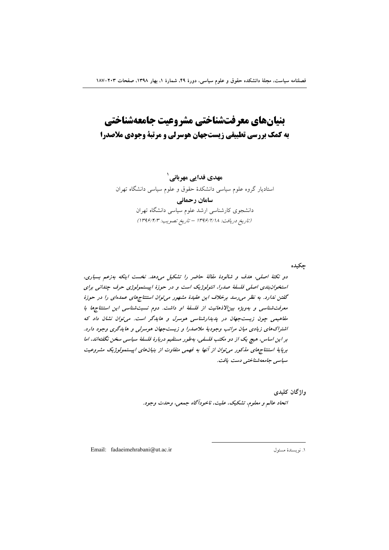# بنيانهاي معرفتشناختي مشروعيت جامعهشناختي به کمک بررسی تطبیقی زیست جهان هوسرلی و مرتبهٔ وجودی ملاصدرا

مهدی فدائے مهربانے ` استادیار گروه علوم سیاسی دانشکدهٔ حقوق و علوم سیاسی دانشگاه تهران سامان رحمانی دانشجوی کارشناسی ارشد علوم سیاسی دانشگاه تهران (تاريخ دريافت: ١٣٩۶/٢/١٨ - تاريخ تصويب: ١٣٩۶/٢/٣)

جكيده

دو نکتهٔ اصلی، هدف و شالودهٔ مقالهٔ حاضر را تشکیل میدهد. نخست اینکه بهزعم بسیاری، استخوان بندی اصلی فلسفهٔ صدرا، انتولوژیک است و در حوزهٔ اپیستمولوژی حرف چندانی برای گفتن ندارد. به نظر می رسد برخلاف این عقیدهٔ مشهور می توان استنتاجهای عمدهای را در حوزهٔ معرفت شناسی و بهویژه بین/لاذهانیت از فلسفهٔ او داشت. دوم نسبت شناسی این استنتاجها با مفاهیمی چون زیست جهان در پدیدارشناسی هوسرل و هایدگر است. می توان نشان داد که اشتراکهای زیادی میان مراتب وجودیهٔ ملاصدرا و زیستجهان هوسرلی و هایدگری وجود دارد. بر این اساس، هیچ یک از دو مکتب فلسفی، بهطور مستقیم دربارهٔ فلسفهٔ سیاسی سخن نگفتهاند، اما برپایهٔ استنتاجهای مذکور می توان از آنها به فهمی متفاوت از بنیانهای اپیستمولوژیک مشروعیت سياسي جامعەشناختى دست يافت.

واژگان کليدي

انحاد عالم و معلوم، تشکیک، علیت، ناخودآگاه جمعی، وحدت وجود.

Email: fadaeimehrabani@ut.ac.ir

١. نويسندة مسئول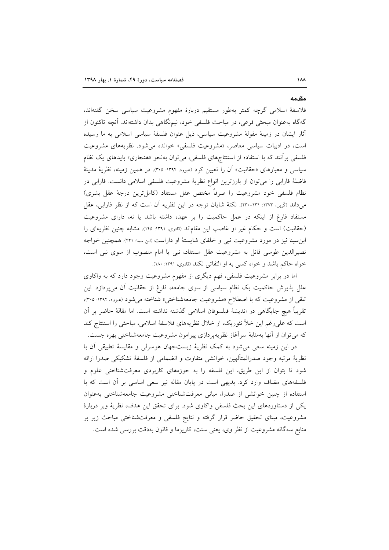#### مقدمه

فلاسفة اسلامی گرچه کمتر بهطور مستقیم دربارهٔ مفهوم مشروعیت سیاسی سخن گفتهاند، گهگاه بهعنوان مبحثی فرعی، در مباحث فلسفی خود، نیمنگاهی بدان داشتهاند. آنچه تاکنون از آثار ایشان در زمینهٔ مقولهٔ مشروعیت سیاسی، ذیل عنوان فلسفهٔ سیاسی اسلامی به ما رسیده است، در ادبیات سیاسی معاصر، «مشروعیت فلسفی» خوانده می شود. نظریههای مشروعیت فلسفی برأنند که با استفاده از استنتاجهای فلسفی، میتوان بهنحو «هنجاری» بایدهای یک نظام سیاسی و معیارهای «حقانیت» آن را تعیین کرد (هیوود، ۱۳۹۴: ۳۰۵). در همین زمینه، نظریهٔ مدینهٔ فاضلهٔ فارابی را میتوان از بارزترین انواع نظریهٔ مشروعیت فلسفی اسلامی دانست. فارابی در نظام فلسفی خود مشروعیت را صرفاً مختص عقل مستفاد (کامل،ترین درجهٔ عقل بشری) میداند (تُربن ١٣٧٣: ٢٣١-٢٣٠). نكتهٔ شايان توجه در اين نظريه آن است كه از نظر فارابي، عقل مستفاد فارغ از اینکه در عمل حاکمیت را بر عهده داشته باشد یا نه، دارای مشروعیت (حقانیت) است و حکام غیر او غاصب این مقاماند (قادری، ۱۳۹۱: ۱۴۵). مشابه چنین نظریهای را ابن سینا نیز در مورد مشروعیت نبی و خلفای شایستهٔ او داراست (ابن سینا: ۴۴۱). همچنین خواجه نصیرالدین طوسی قائل به مشروعیت عقل مستفاد، نبی یا امام منصوب از سوی نبی است، خواه حاکم باشد و خواه کسی به او التفاتی نکند (قادری، ۱۳۹۱: ۱۸۰).

اما در برابر مشروعیت فلسفی، فهم دیگری از مفهوم مشروعیت وجود دارد که به واکاوی علل پذیرش حاکمیت یک نظام سیاسی از سوی جامعه، فارغ از حقانیت أن میپردازد. این تلقی از مشروعیت که با اصطلاح «مشروعیت جامعهشناختی» شناخته میشود (میوود، ۱۳۹۴: ۳۰۵)، تقريباً هيچ جايگاهي در انديشهٔ فيلسوفان اسلامي گذشته نداشته است. اما مقالهٔ حاضر بر آن است که علی رغم این خلأ تئوریک، از خلال نظریههای فلاسفهٔ اسلامی، مباحثی را استنتاج کند که میتوان از آنها بهمثابهٔ سرآغاز نظریهپردازی پیرامون مشروعیت جامعهشناختی بهره جست.

در این زمینه سعی می شود به کمک نظریهٔ زیستجهان هوسرلی و مقایسهٔ تطبیقی آن با نظريهٔ مرتبه وجود صدرالمتألهين، خوانشي متفاوت و انضمامي از فلسفهٔ تشکیکی صدرا ارائه شود تا بتوان از این طریق، این فلسفه را به حوزههای کاربردی معرفتشناختی علوم و فلسفههای مضاف وارد کرد. بدیهی است در پایان مقاله نیز سعی اساسی بر آن است که با استفاده از چنین خوانشی از صدرا، مبانی معرفتشناختی مشروعیت جامعهشناختی بهعنوان یکی از دستاوردهای این بحث فلسفی واکاوی شود. برای تحقق این هدف، نظریهٔ وبر دربارهٔ مشروعیت، مبنای تحقیق حاضر قرار گرفته و نتایج فلسفی و معرفتشناختی مباحث زیر بر منابع سه گانه مشروعیت از نظر وی، یعنی سنت، کاریزما و قانون بهدقت بررسی شده است.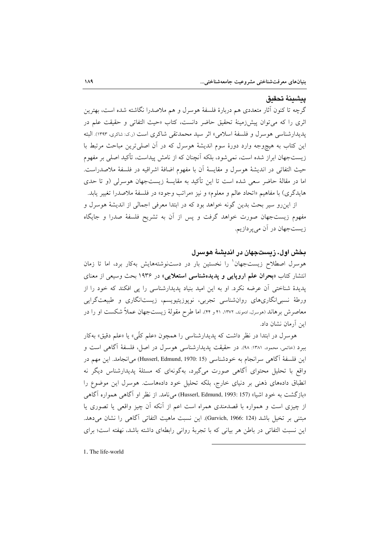#### يبشينة تحقيق

گرچه تا کنون آثار متعددی هم دربارهٔ فلسفهٔ هوسرل و هم ملاصدرا نگاشته شده است، بهترین اثري را كه مي توان پيشزدمينهٔ تحقيق حاضر دانست، كتاب «حيث التفاتي و حقيقت علم در يديدارشناسي هوسرل و فلسفة اسلامي» اثر سيد محمدتقى شاكرى است (ر.ي: شاكرى، ١٣٩٣). البته این کتاب به هیچوجه وارد دورهٔ سوم اندیشهٔ هوسرل که در آن اصلی ترین مباحث مرتبط با زیستجهان ابراز شده است، نمیشود، بلکه آنچنان که از نامش پیداست، تأکید اصلی بر مفهوم حيث التفاتي در انديشهٔ هوسرل و مقايسهٔ آن با مفهوم اضافهٔ اشراقيه در فلسفهٔ ملاصدراست. اما در مقالهٔ حاضر سعی شده است تا این تأکید به مقایسهٔ زیستجهان هوسرلی (و تا حدی هايدگري) با مفاهيم «اتحاد عالم و معلوم» و نيز «مراتب وجود» در فلسفهٔ ملاصدرا تغيير يابد.

از این٫رو سیر بحث بدین گونه خواهد بود که در ابتدا معرفی اجمالی از اندیشهٔ هوسرل و مفهوم زیستجهان صورت خواهد گرفت و پس از آن به تشریح فلسفهٔ صدرا و جایگاه زیستجهان در آن می پردازیم.

### بخش اول. زیستجهان در اندیشهٔ هوسرل

هوسرل اصطلاح زیستجهان ٰ را نخستین بار در دستنوشتههایش بهکار برد، اما تا زمان انتشار کتاب «بحران علم اروپایی و پدیدهشناسی استعلایی» در ۱۹۳۶ بحث وسیعی از معنای پدیدهٔ شناختی آن عرضه نکرد. او به این امید بنیاد پدیدارشناسی را پی افکند که خود را از ورطهٔ نسبی|نگاریهای روانشناسی تجربی، نوپوزیتیویسم، زیست|نگاری و طبیعتگرایی معاصرش برهاند (هوسرل، ادموند، ۱۳۷۲، ۴۱ و ۴۴). اما طرح مقولهٔ زیستجهان عملاً شکست او را در این آرمان نشان داد.

هوسرل در ابتدا در نظر داشت که پدیدارشناسی را همچون «علم کلّی» یا «علم دقیق» بهکار ببرد (خاتمی، محمود، ۱۳۸۱: ۹۸). در حقیقت پدیدارشناسی هوسرل در اصل، فلسفهٔ آگاهی است و اين فلسفة آگاهي سرانجام به خودشناسي (Husserl, Edmund, 1970: 15) مي/نجامد. اين مهم در واقع با تحلیل محتوای آگاهی صورت میگیرد، بهگونهای که مسئلهٔ پدیدارشناس دیگر نه انطباق دادههای ذهنی بر دنیای خارج، بلکه تحلیل خود دادههاست. هوسرل این موضوع را «بازگشت به خود اشیا» (Husserl, Edmund, 1993: 157) می نامد. از نظر او آگاهی همواره آگاهی از چیزی است و همواره با قصدمندی همراه است اعم از أنکه أن چیز واقعی یا تصوری یا مبتني بر تخيل باشد (Gurvich, 1966: 124). اين نسبت ماهيت التفاتي آگاهي را نشان مي دهد. این نسبت التفاتی در باطن هر بیانی که با تجربهٔ روانی رابطهای داشته باشد، نهفته است؛ برای

1. The life-world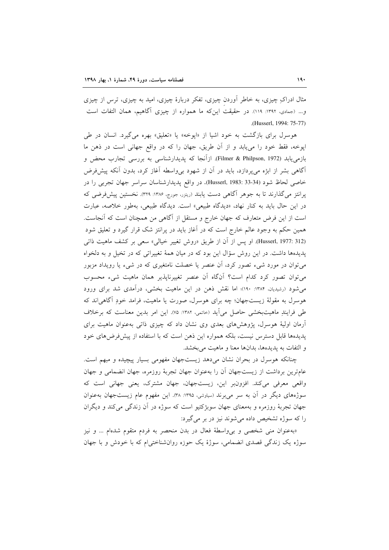مثال ادراکِ چیزی، به خاطر أوردن چیزی، تفکر دربارهٔ چیزی، امید به چیزی، ترس از چیزی و... (جمادی، ۱۳۹۲: ۱۱۹). در حقیقت این که ما همواره از چیزی آگاهیم، همان التفات است (Husserl, 1994; 75-77)

هوسرل برای بازگشت به خود اشیا از «اپوخه» یا «تعلیق» بهره میگیرد. انسان در طی اپوخه، فقط خود را می،یابد و از آن طریق، جهان را که در واقع جهانی است در ذهن ما بازمی یابد (Filmer & Philpson, 1972). ازآنجا که پدیدارشناسی به بررسی تجارب محض و آگاهی بشر از ابژه میپردازد، باید در آن از شهود بیeاسطه آغاز کرد، بدون آنکه پیشفرض خاصي لحاظ شود (34-33 :Husserl, 1983). در واقع پديدارشناسان سراسر جهان تجربي را در پرانتز میگذارند تا به جوهر آگاهی دست یابند (ریترر، جورج، ۱۳۸۶: ۳۲۹). نخستین پیشفرضی که در این حال باید به کنار نهاد، «دیدگاه طبیعی» است. دیدگاه طبیعی، بهطور خلاصه، عبارت است از این فرض متعارف که جهان خارج و مستقل از آگاهی من همچنان است که آنجاست. همین حکم به وجود عالم خارج است که در اَغاز باید در پرانتز شک قرار گیرد و تعلیق شود (Husserl, 1977: 312). او پس از آن از طریق «روش تغییر خیالی» سعی بر کشف ماهیت ذاتی پدیدهها داشت. در این روش سؤال این بود که در میان همهٔ تغییراتی که در تخیل و به دلخواه میتوان در مورد شیء تصور کرد، آن عنصر یا خصلت نامتغیری که در شیء یا رویداد مزبور می توان تصور کرد کدام است؟ آنگاه آن عنصر تغییرناپذیر همان ماهیت شیء محسوب می شود (رشیدیان، ۱۳۸۴: ۱۹۰)؛ اما نقش ذهن در این ماهیت بخشی، درآمدی شد برای ورود هوسرل به مقولهٔ زیستجهان؛ چه برای هوسرل، صورت یا ماهیت، فرامد خودِ آگاهی اند که طي فرايندِ ماهيتبخشي حاصل مي آيد (حاتمي، ١٣٨٢: ٧٥). اين امر بدين معناست كه برخلاف أرمان اولیهٔ هوسرل، پژوهشهای بعدی وی نشان داد که چیزی ذاتی بهعنوان ماهیت برای پدیدهها قابل دسترس نیست، بلکه همواره این ذهن است که با استفاده از پیشفرضهای خود و التفات به پدیدهها، بدانها معنا و ماهیت می بخشد.

چنانکه هوسرل در بحران نشان میدهد زیستجهان مفهومی بسیار پیچیده و مبهم است. عامترین برداشت از زیستجهان أن را بهعنوان جهان تجربهٔ روزمره، جهان انضمامی و جهان واقعي معرفي مي كند. افزونبر اين، زيستجهان، جهان مشترك، يعني جهاني است كه سوژههای دیگر در آن به سر می برند (سیاوشی، ۱۳۹۵: ۳۸). این مفهوم عام زیستجهان به عنوان جهان تجربهٔ روزمره و بهمعنای جهان سوبژکتیو است که سوژه در آن زندگی می کند و دیگران را که سوژه تشخیص داده می شوند نیز در بر می گیرد:

«بهعنوان مني شخصي و بي واسطة فعال در بدن منحصر به فردم متقوم شدهام ... و نيز سوژه یک زندگی قصدی انضمامی، سوژهٔ یک حوزه روانشناختی|م که با خودش و با جهان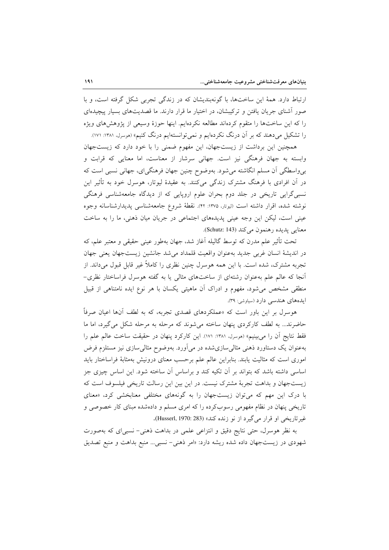ارتباط دارد. همهٔ این ساختها، با گونهبندیشان که در زندگی تجربی شکل گرفته است، و با صور آشنای جریان یافتن و ترکیبشان، در اختیار ما قرار دارند. ما قصدیتهای بسیار پیچیدهای را که این ساختها را متقوم کردهاند مطالعه نکردهایم. اینها حوزهٔ وسیعی از پژوهشهای ویژه را تشکیل میدهند که بر آن درنگ نکردهایم و نمیتوانستهایم درنگ کنیم» (موسرل، ۱۳۸۱: ۱۷۱).

همچنین این برداشت از زیستجهان، این مفهوم ضمنی را با خود دارد که زیستجهان وابسته به جهان فرهنگی نیز است. جهانی سرشار از معناست، اما معنایی که قرابت و بی واسطگی آن مسلم انگاشته می شود. بهوضوح چنین جهان فرهنگیای، جهانی نسبی است که در آن افرادی با فرهنگ مشترک زندگی میکنند. به عقیدهٔ لیوتار، هوسرل خود به تأثیر این نسبی گرایی تاریخی در جلد دوم بحران علوم اروپایی که از دیدگاه جامعهشناسی فرهنگی نوشته شده، اقرار داشته است (ليوتار، ١٣٧٥: ۴٢). نقطهٔ شروع جامعهشناسي يديدارشناسانه وجوه عینی است، لیکن این وجه عینی پدیدههای اجتماعی در جریان میان ذهنی، ما را به ساخت معنايي پديده رهنمون مي كند (Schutz: 143).

تحت تأثیر علم مدرن که توسط گالیله آغاز شد، جهان بهطور عینی حقیقی و معتبر علم، که در انديشة انسان غربي جديد بهعنوان واقعيت قلمداد مي شد جانشين زيستجهان يعني جهان تجربه مشترک، شده است. با این همه هوسرل چنین نظری را کاملاً غیر قابل قبول میداند. از أنجا که عالم علم بهعنوان رشتهای از ساختهای مثالی یا به گفته هوسرل فراساختار نظری– منطقی مشخص می شود، مفهوم و ادراک آن ماهیتی یکسان با هر نوع ایده نامتناهی از قبیل ایدههای هندسی دارد (سیاوشی: ۳۹).

هوسرل بر این باور است که «عملکردهای قصدی تجربه، که به لطف آنها اعیان صرفاً حاضرند... به لطف کارکردی پنهان ساخته میشوند که مرحله به مرحله شکل میگیرد، اما ما فقط نتايج أن را مي بينيم» (هوسرل، ١٣٨١: ١٧١). اين كاركرد پنهان در حقيقت ساخت عالم علم را بهعنوان یک دستاورد ذهنی مثالی سازی شده در می آورد. بهوضوح مثالی سازی نیز مستلزم فرض اموری است که مثالیت یابند. بنابراین عالم علم برحسب معنای درونیش بهمثابهٔ فراساختار باید اساسی داشته باشد که بتواند بر آن تکیه کند و براساس آن ساخته شود. این اساس چیزی جز زیستجهان و بداهت تجربهٔ مشترک نیست. در این بین این رسالت تاریخی فیلسوف است که با درک این مهم که میتوان زیستجهان را به گونههای مختلفی معنابخشی کرد، «معنای تاریخی پنهان در نظام مفهومی رسوبکرده را که امری مسلم و دادهشده مبنای کار خصوصی و غير تاريخي او قرار مي گيرد از نو زنده كند» (Husserl, 1970: 283).

به نظر هوسرل، حتى نتايج دقيق و انتزاعى علمى در بداهت ذهني- نسبى اى كه بهصورت شهودی در زیستجهان داده شده ریشه دارد: «امر ذهنی- نسبی... منبع بداهت و منبع تصدیق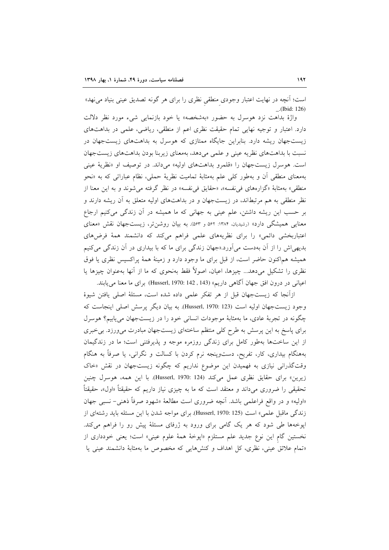است؛ أنچه در نهايت اعتبار وجودي منطقى نظري را براي هر گونه تصديق عيني بنياد مي نهد»  $-.$ (Ibid: 126)

واژهٔ بداهت نزد هوسرل به حضور «بهشخصه» یا خود بازنمایی شیء مورد نظر دلالت دارد. اعتبار و توجیه نهایی تمام حقیقت نظری اعم از منطقی، ریاضی، علمی در بداهتهای زیستجهان ریشه دارد. بنابراین جایگاه ممتازی که هوسرل به بداهتهای زیستجهان در نسبت با بداهتهای نظریه عینی و علمی میدهد، بهمعنای زیربنا بودن بداهتهای زیستجهان است. هوسرل زیستجهان را «قلمرو بداهتهای اولیه» می داند. در توصیف او «نظریهٔ عینی بهمعنای منطقی آن و بهطور کل<sub>ی</sub> علم بهمثابهٔ تمامیت نظریهٔ حملی، نظام عباراتی که به «نحو منطقی» بهمثابهٔ «گزارههای فی نفسه»، «حقایق فی نفسه» در نظر گرفته می شوند و به این معنا از نظر منطقی به هم مرتبطاند، در زیستجهان و در بداهتهای اولیه متعلق به آن ریشه دارند و بر حسب این ریشه داشتن، علم عینی به جهانی که ما همیشه در آن زندگی میکنیم ارجاع معنایی همیشگی دارد» (رشیدیان، ۱۳۸۴: ۵۶۲ و ۵۶۳). به بیان روشن تر، زیستجهان نقش «معنای اعتباربخشی دائمی» را برای نظریههای علمی فراهم میکند که دانشمند همهٔ فرضهای بدیهی اش را از آن بهدست می آورد.«جهان زندگی برای ما که با بیداری در آن زندگی می کنیم همیشه هماکنون حاضر است، از قبل برای ما وجود دارد و زمینهٔ همهٔ پراکسیس نظری یا فوق نظری را تشکیل می،دهد... چیزها، اعیان، اصولاً فقط بهنحوی که ما از آنها بهعنوان چیزها یا اعياني در درون افق جهان آگاهي داريم» (Husserl, 1970: 142 , 143) براي ما معنا مي يابند.

ازآنجا که زیستجهان قبل از هر تفکر علمی داده شده است، مسئلهٔ اصلی یافتن شیوهٔ وجود زيستجهان اوليه است (Husserl, 1970: 123). به بيان ديگر پرسش اصلي اينجاست كه چگونه در تجربهٔ عادی، ما بهمثابهٔ موجودات انسانی خود را در زیستجهان می یابیم؟ هوسرل برای پاسخ به این پرسش به طرح کلی منتظم ساختهای زیستجهان مبادرت میورزد. بیخبری از این ساختها بهطور کامل برای زندگی روزمره موجه و پذیرفتنی است؛ ما در زندگیمان بههنگام بیداری، کار، تفریح، دستوپنجه نرم کردن با کسالت و نگرانی، یا صرفاً به هنگام وقتگذرانی نیازی به فهمیدن این موضوع نداریم که چگونه زیستجهان در نقش «خاک زيرين» براي حقايق نظري عمل مي كند (Husserl, 1970: 124). با اين همه، هوسرل چنين تحقیقی را ضروری میداند و معتقد است که ما به چیزی نیاز داریم که حقیقتاً «اول»، حقیقتاً «اوليه» و در واقع فراعلمي باشد. آنچه ضروري است مطالعهٔ «شهود صرفاً ذهني- نسبي جهان زندگی ماقبل علمی» است (Husserl, 1970: 125). برای مواجه شدن با این مسئله باید رشتهای از اپوخهها طی شود که هر یک گامی برای ورود به ژرفای مسئلهٔ پیش رو را فراهم میکند. نخستین گام این نوع جدید علم مستلزم «اپوخهٔ همهٔ علوم عینی» است؛ یعنی خودداری از «تمام علائق عینی، نظری، کل اهداف و کنشهایی که مخصوص ما بهمثابهٔ دانشمند عینی یا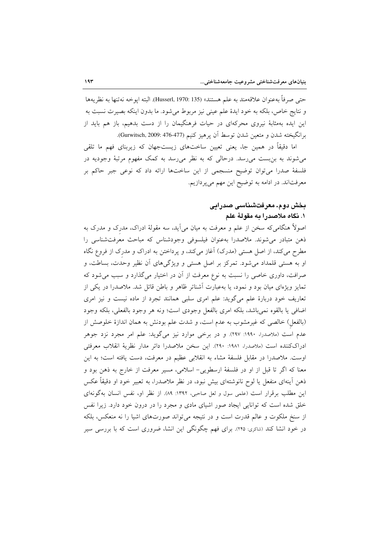حتى صرفاً بهعنوان علاقهمند به علم هستند» (Husserl, 1970: 135). البته ايوخه نهتنها به نظريهها و نتايج خاص، بلكه به خود ايدهٔ علم عيني نيز مربوط مي شود. ما بدون اينكه بصيرت نسبت به این ایده بهمثابهٔ نیروی محرکهای در حیات فرهنگیمان را از دست بدهیم، باز هم باید از برانگيخته شدن و متعين شدن توسط آن يرهيز كنيم (Gurwitsch, 2009: 476-477).

اما دقیقاً در همین جا، یعنی تعیین ساختهای زیستجهان که زیربنای فهم ما تلقی می شوند به بن بست می رسد. درحالی که به نظر می رسد به کمک مفهوم مرتبهٔ وجودیه در فلسفهٔ صدرا میتوان توضیح منسجمی از این ساختها ارائه داد که نوعی جبر حاکم بر معرفتاند. در ادامه به توضیح این مهم میپردازیم.

## بخش دوم. معرفتشناسی صدرایی ۱. نگاه ملاصدرا به مقولهٔ علم

اصولاً هنگامی که سخن از علم و معرفت به میان می آید، سه مقولهٔ ادراک، مدرک و مدرک به ذهن متبادر می شوند. ملاصدرا بهعنوان فیلسوفی وجودشناس که مباحث معرفت شناسی را مطرح می کند، از اصل هستی (مدرک) آغاز میکند، و پرداختن به ادراک و مدرک از فروع نگاه او به هستی قلمداد می شود. تمرکز بر اصل هستی و ویژگیهای آن نظیر وحدت، بساطت، و صرافت، داوری خاصی را نسبت به نوع معرفت از آن در اختیار میگذارد و سبب می شود که تمایز ویژهای میان بود و نمود، یا بهعبارت آشناتر ظاهر و باطن قائل شد. ملاصدرا در یکی از تعاریف خود دربارهٔ علم میگوید: علم امری سلبی همانند تجرد از ماده نیست و نیز امری اضافي يا بالقوه نمي باشد، بلكه امرى بالفعل وجودي است؛ ونه هر وجود بالفعلي، بلكه وجود (بالفعل) خالصی که غیرمشوب به عدم است، و شدت علم بودنش به همان اندازهٔ خلوصش از عدم است (ملاصدرا، ۱۹۹۰: ۲۹۷). و در برخی موارد نیز میگوید: علم امر مجرد نزد جوهر ادراككننده است (ملاصدرا، ۱۹۸۱: ۲۹۰). اين سخن ملاصدرا دائر مدار نظرية انقلاب معرفتي اوست. ملاصدرا در مقابل فلسفة مشاء به انقلابی عظیم در معرفت، دست یافته است؛ به این معنا که اگر تا قبل از او در فلسفهٔ ارسطویی- اسلامی، مسیر معرفت از خارج به ذهن بود و ذهن اَینهای منفعل یا لوح نانوشتهای بیش نبود، در نظر ملاصدرا، به تعبیر خود او دقیقاً عکس این مطلب برقرار است (علمی سول و لعل صاحبی، ١٣٩٢: ٨٩). از نظر او، نفس انسان بهگونهای خلق شده است که توانایی ایجاد صور اشیای مادی و مجرد را در درون خود دارد. زیرا نفس از سنخ ملکوت و عالم قدرت است و در نتیجه می تواند صورتهای اشیا را نه منعکس، بلکه در خود انشا کند (شاکری: ۲۴۵). برای فهم چگونگی این انشا، ضروری است که با بررسی سیر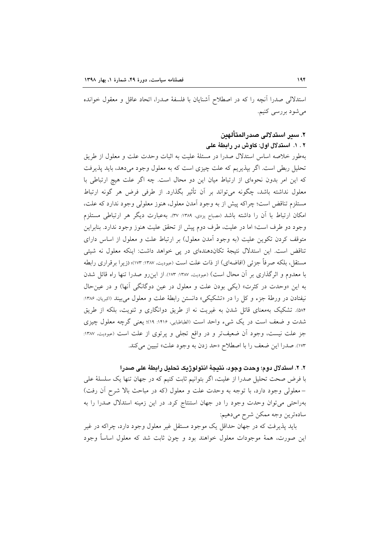استدلالی صدرا آنچه را که در اصطلاح آشنایان با فلسفهٔ صدرا، اتحاد عاقل و معقول خوانده می شود بررسی کنیم.

## ٢. سير استدلالي صدرالمتألهين

۲ . ۱. استدلال اول: کاوش در رابطهٔ علی

بهطور خلاصه اساس استدلال صدرا در مسئلهٔ علیت به اثبات وحدت علت و معلول از طریق تحلیل ربطی است. اگر بیذیریم که علت چیزی است که به معلول وجود میدهد، باید پذیرفت که این امر بدون نحوهای از ارتباط میان این دو محال است. چه اگر علت هیچ ارتباطی با معلول نداشته باشد، چگونه می تواند بر آن تأثیر بگذارد. از طرفی فرض هر گونه ارتباط مستلزم تناقض است؛ چراکه پیش از به وجود آمدن معلول، هنوز معلولی وجود ندارد که علت، امكان ارتباط با أن را داشته باشد (مصباح يزدي، ١٣٨٩: ٣٧). بهعبارت ديگر هر ارتباطي مستلزم وجود دو طرف است؛ اما در علیت، طرف دوم پیش از تحقق علیت هنوز وجود ندارد. بنابراین متوقف کردن تکوین علیت (به وجود آمدن معلول) بر ارتباط علت و معلول از اساس دارای تناقض است. این استدلال نتیجهٔ تکاندهندهای در پی خواهد داشت: اینکه معلول نه شیئی مستقل، بلكه صرفاً جزئي (افاضهاي) از ذات علت است (عبوديت، ١٣٨٧: ١٧٣)؛ (زير ا بر قراري رابطه با معدوم و اثرِگذاری بر آن محال است) (عبودیت، ۱۳۸۷: ۱۷۳). از این رو صدرا تنها راه قائل شدن به این «وحدت در کثرت» (یکی بودن علت و معلول در عین دوگانگی آنها) و در عین حال نيفتادن در ورطهٔ جزء و كل را در «تشكيكي» دانستن رابطهٔ علت و معلول مي بيند (اكبريان، ۱۳۸۶: ۵۸۴). تشکیک بهمعنای قائل شدن به غیریت نه از طریق دوانگاری و ثنویت، بلکه از طریق شدت و ضعف است در یک شیء واحد است (الطباطبایی، ۱۴۱۶: ۱۹)؛ یعنی گرچه معلول چیزی جز علت نیست، وجود آن ضعیفتر و در واقع تجلی و پرتوی از علت است (عبودیت، ۱۳۸۷: ۱۷۳). صدرا این ضعف را با اصطلاح «حد زدن به وجود علت» تبیین می کند.

٢. ٢. استدلال دوم؛ وحدت وجود، نتيجةَ انتولوژيک تحليل رابطةَ على صدرا با فرض صحت تحلیل صدرا از علیت، اگر بتوانیم ثابت کنیم که در جهان تنها یک سلسلهٔ علی –معلولی وجود دارد، با توجه به وحدت علت و معلول (که در مباحث بالا شرح أن رفت) بهراحتی می توان وحدت وجود را در جهان استنتاج کرد. در این زمینه استدلال صدرا را به سادهترين وجه ممكن شرح مىدهيم:

باید پذیرفت که در جهان حداقل یک موجود مستقل غیر معلول وجود دارد، چراکه در غیر این صورت، همهٔ موجودات معلول خواهند بود و چون ثابت شد که معلول اساساً وجود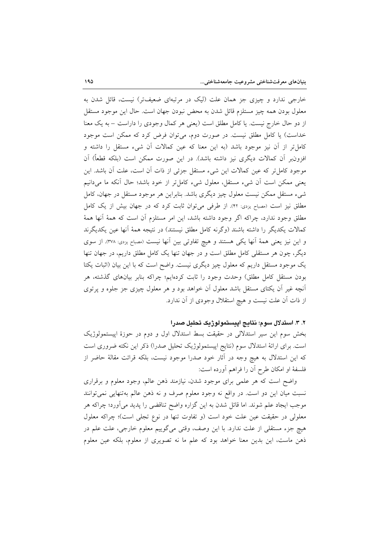خارجی ندارد و چیزی جز همان علت (لیک در مرتبهای ضعیفتر) نیست، قائل شدن به معلول بودن همه چیز مستلزم قائل شدن به محض نبودن جهان است. حال این موجود مستقل از دو حال خارج نیست. یا کامل مطلق است (یعنی هر کمال وجودی را داراست – به یک معنا خداست) یا کامل مطلق نیست. در صورت دوم، می توان فرض کرد که ممکن است موجود كاملٍ تر از آن نيز موجود باشد (به اين معنا كه عين كمالات آن شيء مستقل را داشته و افزون بر آن کمالات دیگری نیز داشته باشد). در این صورت ممکن است (بلکه قطعاً) آن موجود كاملٍ تر كه عين كمالات اين شيء مستقل جزئي از ذات آن است، علت آن باشد. اين يعني ممكن است أن شيء مستقل، معلول شيء كامل تر از خود باشد؛ حال أنكه ما مي دانيم شیء مستقل ممکن نیست معلول چیز دیگری باشد. بنابراین هر موجود مستقل در جهان، کامل مطلق نیز است (مصباح یزدی: ۴۲). از طرفی می توان ثابت کرد که در جهان بیش از یک کامل مطلق وجود ندارد، چراکه اگر وجود داشته باشد، این امر مستلزم آن است که همهٔ آنها همهٔ كمالات يكديگر را داشته باشند (وگرنه كامل مطلق نيستند) در نتيجه همهٔ أنها عين يكديگرند و این نیز یعنی همهٔ آنها یکی هستند و هیچ تفاوتی بین آنها نیست (مصباح یزدی: ۳۷۸). از سوی دیگر، چون هر مستقلی کامل مطلق است و در جهان تنها یک کامل مطلق داریم، در جهان تنها یک موجود مستقل داریم که معلول چیز دیگری نیست. واضح است که با این بیان (اثبات یکتا بودن مستقل کامل مطلق) وحدت وجود را ثابت کردهایم؛ چراکه بنابر بیانهای گذشته، هر آنچه غیر آن یکتای مستقل باشد معلول آن خواهد بود و هر معلول چیزی جز جلوه و پرتوی از ذات آن علت نیست و هیچ استقلال وجودی از آن ندارد.

٢. ٣. استدلال سوم؛ نتايج اييستمولوژيک تحليل صدرا

بخش سوم این سیر استدلالی در حقیقت بسط استدلال اول و دوم در حوزهٔ اپیستمولوژیک است. برای ارائهٔ استدلال سوم (نتایج اپیستمولوژیک تحلیل صدرا) ذکر این نکته ضروری است که این استدلال به هیچ وجه در آثار خود صدرا موجود نیست، بلکه قرائت مقالهٔ حاضر از فلسفة او امكان طرح آن را فراهم أورده است:

واضح است که هر علمی برای موجود شدن، نیازمند ذهن عالم، وجود معلوم و برقراری نسبت ميان اين دو است. در واقع نه وجود معلوم صرف و نه ذهن عالم بهتنهايي نمي توانند موجب ايجاد علم شوند. اما قائل شدن به اين گزاره واضح تناقضي را پديد مي آورد؛ چراكه هر معلولی در حقیقت عین علت خود است (و تفاوت تنها در نوع تجلی است)؛ چراکه معلول هيچ جزء مستقلي از علت ندارد. با اين وصف، وقتي ميگوييم معلوم خارجي، علت علم در ذهن ماست، این بدین معنا خواهد بود که علم ما نه تصویری از معلوم، بلکه عین معلوم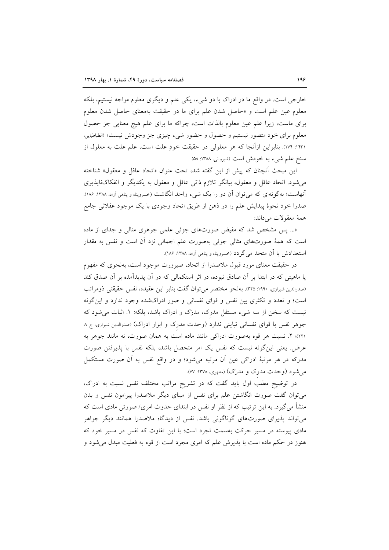خارجي است. در واقع ما در ادراک با دو شيء، يکي علم و ديگري معلوم مواجه نيستيم، بلکه معلوم عین علم است و «حاصل شدن علم برای ما در حقیقت بهمعنای حاصل شدن معلوم برای ماست، زیرا علم عین معلوم بالذات است، چراکه ما برای علم هیچ معنایی جز حصول معلوم برای خود متصور نیستیم و حصول و حضور شیء چیزی جز وجودش نیست» (الطباطبایی، ۱۴۳۱: ۱۷۴). بنابراین ازآنجا که هر معلولی در حقیقت خودِ علت است، علم علت به معلول از سنخ علم شيء به خودش است (شيرواني، ١٣٨٨: ۵٨).

این مبحث آنچنان که پیش از این گفته شد، تحت عنوان «اتحاد عاقل و معقول» شناخته می شود. اتحاد عاقل و معقول، بیانگر تلازم ذاتی عاقل و معقول به یکدیگر و انفکاکناپذیری آنهاست؛ بهگونهای که می توان آن دو را یک شیء واحد انگاشت (حسروپناه و پناهی آزاد، ۱۳۸۸: ۱۸۶). صدرا خود نحوهٔ پیدایش علم را در ذهن از طریق اتحاد وجودی با یک موجود عقلانی جامع همة معقولات مي داند:

«... پس مشخص شد که مفیض صورتهای جزئی علمی جوهری مثالی و جدای از ماده است که همهٔ صورتهای مثالی جزئی بهصورت علم اجمالی نزد آن است و نفس به مقدار استعدادش با آن متحد می گردد (خسروپناه و پناهی آزاد، ۱۳۸۸: ۱۸۶).

در حقیقت معنای مورد قبول ملاصدرا از اتحاد، صیرورت موجود است، بهنحوی که مفهوم یا ماهیتی که در ابتدا بر آن صادق نبوده، در اثر استکمالی که در آن پدیدآمده بر آن صدق کند (صدرالدين شيرازي، ١٩٩٠: ٣٢٥). بهنحو مختصر مي توان گفت بنابر اين عقيده، نفس حقيقتي ذومراتب است؛ و تعدد و تکثری بین نفس و قوای نفسانی و صور ادراکشده وجود ندارد و این گونه نیست که سخن از سه شیء مستقل مدرک، مدرک و ادراک باشد، بلکه: ١. اثبات می شود که جوهر نفس با قوای نفسانی تباینی ندارد (وحدت مدرک و ابزار ادراک) (صدرالدین شیرازی، ج ۸: ٢٢١)؛ ٢. نسبت هر قوه بهصورت ادراكي مانند ماده است به همان صورت، نه مانند جوهر به عرض یعنی این گونه نیست که نفس یک امر متحصل باشد، بلکه نفس با پذیرفتن صورت مدرکه در هر مرتبهٔ ادراکی عین أن مرتبه میشود؛ و در واقع نفس به أن صورت مستکمل می شود (وحدت مدرک و مدرک) (مطهری، ۱۳۷۸: ۷۷).

در توضیح مطلب اول باید گفت که در تشریح مراتب مختلف نفس نسبت به ادراک، می توان گفت صورت انگاشتن علم برای نفس از مبنای دیگر ملاصدرا پیرامون نفس و بدن منشأ می گیرد. به این ترتیب که از نظر او نفس در ابتدای حدوث امری/ صورتی مادی است که می تواند پذیرای صورتهای گوناگونی باشد. نفس از دیدگاه ملاصدرا همانند دیگر جواهر مادی پیوسته در مسیر حرکت بهسمت تجرد است؛ با این تفاوت که نفس در مسیر خود که هنوز در حکم ماده است با پذیرش علم که امری مجرد است از قوه به فعلیت مبدل می شود و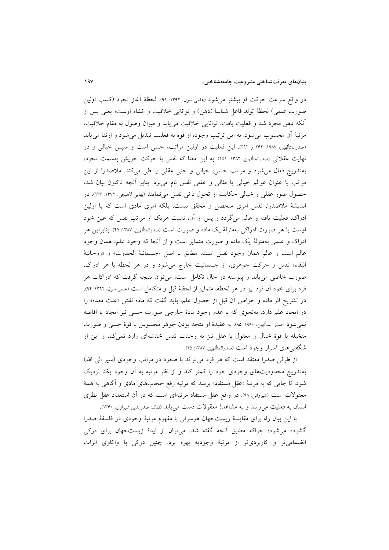در واقع سرعت حركت او بيشتر مي شود (علمي سول، ١٣٩٢: ٩١). لحظهٔ أغاز تجرد (كسب اولين صورت علمي) لحظة تولد فاعل شناسا (ذهن) و توانايي خلاقيت و انشاء اوست؛ يعني يس از أنكه ذهن مجرد شد و فعليت يافت، توانايي خلاقيت ميءابد و ميزان وصول به مقام خلاقيت، مرتبهٔ آن محسوب میشود. به این ترتیب وجود، از قوه به فعلیت تبدیل میشود و ارتقا می یابد (صدرالمتألهین، ۱۹۸۷: ۲۶۴ و ۲۹۲). این فعلیت در اولین مراتب، حسی است و سپس خیالی و در نهايت عقلاني (صدرالمتألهين، ١٣٨٢: ١٥١). به اين معنا كه نفس با حركت خويش بهسمت تجرد، بهتدریج فعال میشود و مراتب حسی، خیالی و حتی عقلی را طی میکند. ملاصدرا از این مراتب با عنوان عوالم خيالي يا مثالي و عقلي نفس نام مي,برد. بنابر أنچه تاكنون بيان شد، حصول صور عقلی و خیالی حکایت از تحول ذاتی نفس می نمایند (بهایی لامیجی، ۱۳۷۲: ۱۳۶). در اندیشهٔ ملاصدرا، نفس امری متحصل و محقق نیست، بلکه امری مادی است که با اولین ادراک، فعلیت یافته و عالم میگردد و پس از آن، نسبت هریک از مراتب نفس که عین خود اوست با هر صورت ادراکی بهمنزلهٔ یک ماده و صورت است (صدرالمتألهین، ۱۳۸۷: ۴۵). بنابراین هر ادراک و علمی بهمنزلهٔ یک ماده و صورت متمایز است و از آنجا که وجود علم، همان وجود عالم است و عالم همان وجود نفس است، مطابق با اصل «جسمانية الحدوث» و «روحانية البقاء» نفس و حرکت جوهری، از جسمانیت خارج میشود و در هر لحظه با هر ادراک، صورت خاصی می یابد و پیوسته در حال تکامل است؛ می توان نتیجه گرفت که ادراکات هر فرد برای خود آن فرد نیز در هر لحظه، متمایز از لحظهٔ قبل و متکامل است (علمی سول، ۱۳۹۲: ۹۴). در تشریح اثر ماده و خواص آن قبل از حصول علم، باید گفت که ماده نقش «علت معده» را در ایجاد علم دارد، بهنحوی که با عدم وجود مادهٔ خارجی صورت حسی نیز ایجاد یا افاضه نمي شود (صدر المتألهين، ١٩٩٠: ٩٥). به عقيدهٔ او متحد بودن جوهر محسوس با قوهٔ حسی و صورت متخیله با قوهٔ خیال و معقول با عقل نیز به وحدت نفس خدشهای وارد نمیکند و این از شگفتی های اسرار وجود است (صدرالمتألهین، ۱۳۸۷: ۲۵).

از طرفی صدرا معتقد است که هر فرد می تواند با صعود در مراتب وجودی (سیر الی الله) بهتدریج محدودیتهای وجودی خود را کمتر کند و از نظر مرتبه به آن وجود یکتا نزدیک شود، تا جایبی که به مرتبهٔ «عقل مستفاد» برسد که مرتبه رفع حجابهای مادی و آگاهی به همهٔ معقولات است (شیروانی: ۹۸). در واقع عقل مستفاد مرتبهای است که در آن استعداد عقل نظری انسان به فعلیت می رسد و به مشاهدهٔ معقولات دست می پابد (ن ک: صدرالدین شیرازی، ۱۳۶۰).

با اين بيان راه براي مقايسة زيستجهان هوسرلي با مفهوم مرتبة وجودي در فلسفة صدرا گشوده می شود؛ چراکه مطابق أنچه گفته شد، می توان از ایدهٔ زیستجهان برای درکی انضمامی تر و کاربردی تر از مرتبهٔ وجودیه بهره برد. چنین درکی با واکاوی اثرات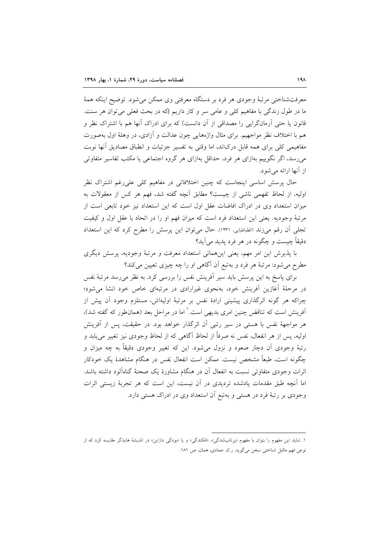معرفتشناختی مرتبهٔ وجودی هر فرد بر دستگاه معرفتی وی ممکن میشود. توضیح اینکه همهٔ ما در طول زندگی با مفاهیم کلی و عامی سر و کار داریم (که در بحث فعلی می توان هر سنت. قانون یا حتی اَرمانگرایی را مصداقی از اَن دانست) که برای ادراک اَنها هم با اشتراک نظر و هم با اختلاف نظر مواجهیم. برای مثال واژههایی چون عدالت و آزادی، در وهلهٔ اول بهصورت مفاهیمی کلی برای همه قابل درکاند، اما وقتی به تفسیر جزئیات و انطباق مصادیق آنها نوبت میرسد، اگر نگوییم بهازای هر فرد، حداقل بهازای هر گروه اجتماعی یا مکتب تفاسیر متفاوتی از آنها ارائه می شود.

حال پرسش اساسی اینجاست که چنین اختلافاتی در مفاهیم کلی علی رغم اشتراک نظر اوليه، از لحاظ تفهمي ناشي از چيست؟ مطابق أنچه گفته شد، فهم هر كس از معقولات به میزان استعداد وی در ادراک افاضات عقل اول است که این استعداد نیز خود تابعی است از مرتبهٔ وجودیه. یعنی این استعداد فرد است که میزان فهم او را در اتحاد با عقل اول و کیفیت تجلَّى أن رقم ميِّزند (الطباطبايي، ١٢٣١). حال مي توان اين پرسش را مطرح كرد كه اين استعداد دقیقاً چیست و چگونه در هر فرد یدید می آید؟

با پذیرش این امر مهم، یعنی اینهمانی استعداد معرفت و مرتبهٔ وجودیه، پرسش دیگری مطرح میشود: مرتبهٔ هر فرد و بهتبع آن آگاهی او را چه چیزی تعیین میکند؟

برای پاسخ به این پرسش باید سیر اَفرینش نفس را بررسی کرد. به نظر میرسد مرتبهٔ نفس در مرحلهٔ آغازین آفرینش خود، بهنحوی غیرارادی در مرتبهای خاص خود انشا می شود؛ چراکه هر گونه اثرگذاری پیشینی ارادهٔ نفس بر مرتبهٔ اولیهاش، مستلزم وجود آن پیش از آفرینش است که تناقض چنین امری بدیهی است.<sup>۱</sup> اما در مراحل بعد (همان $d$ ور که گفته شد)، هر مواجههٔ نفس با هستی در سیر رتبی آن اثرگذار خواهد بود. در حقیقت، پس از آفرینش اولیه، پس از هر انفعال، نفس نه صرفاً از لحاظ آگاهی که از لحاظ وجودی نیز تغییر می یابد و رتبهٔ وجودی آن دچار صعود و نزول میشود. این که تغییر وجودی دقیقاً به چه میزان و چگونه است، طبعاً مشخص نیست. ممکن است انفعال نفس در هنگام مشاهدهٔ یک خودکار اثرات وجودی متفاوتی نسبت به انفعال آن در هنگام مشاورهٔ یک صحنهٔ گناهآلود داشته باشد. اما آنچه طبق مقدمات یادشده تردیدی در آن نیست، این است که هر تجربهٔ زیستم اثرات وجودي بر رتبهٔ فرد در هستی و بهتبع آن استعداد وي در ادراک هستی دارد.

۱. شاید این مفهوم را بتوان با مفهوم «پرتابشدگی»، «افکندگی» و یا «بودگی دازاین» در اندیشهٔ هایدگر مقایسه کرد که از نوعي فهم ماقبل شناختي سخن مي گويد. ر.ک جمادي، همان، ص ١٨١.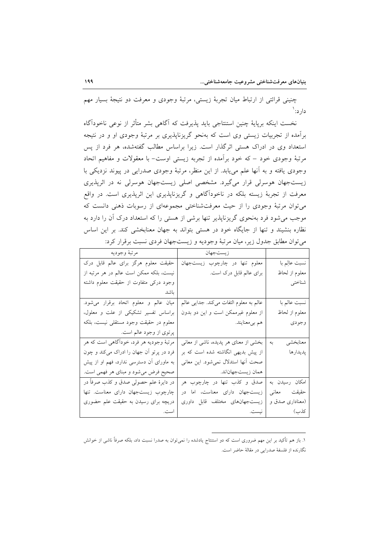چنینی قرائتی از ارتباط میان تجربهٔ زیستی، مرتبهٔ وجودی و معرفت دو نتیجهٔ بسیار مهم دار د: `

نخست اینکه برپایهٔ چنین استنتاجی باید پذیرفت که آگاهی بشر متأثر از نوعی ناخودآگاه برآمده از تجربیات زیستی وی است که بهنحو گریزناپذیری بر مرتبهٔ وجودی او و در نتیجه استعداد وی در ادراک هستی اثرگذار است. زیرا براساس مطالب گفتهشده، هر فرد از پس مرتبهٔ وجودی خود – که خود برآمده از تجربه زیستی اوست– با معقولات و مفاهیم اتحاد وجودي يافته و به آنها علم مي يابد. از اين منظر، مرتبهٔ وجودي صدرايي در پيوند نزديكي با زیستجهان هوسرلی قرار میگیرد. مشخصی اصلی زیستجهان هوسرلی نه در اثرپذیری معرفت از تجربهٔ زیسته بلکه در ناخودآگاهی و گریزناپذیری این اثرپذیری است. در واقع می توان مرتبهٔ وجودی را از حیث معرفتشناختی مجموعهای از رسوبات ذهنی دانست که موجب می شود فرد بهنحوی گریزناپذیر تنها برشی از هستی را که استعداد درک آن را دارد به نظاره بنشیند و تنها از جایگاه خود در هستی بتواند به جهان معنابخشی کند. بر این اساس می توان مطابق جدول زیر، میان مرتبهٔ وجودیه و زیستجهان فردی نسبت برقرار کرد:

|                 | زيستجهان                                   | مرتبه وجوديه                             |
|-----------------|--------------------------------------------|------------------------------------------|
| نسبت عالِم با   | معلوم تنها در چارچوب زيستجهان              | حقیقت معلوم هرگز برای عالم قابل درک      |
| معلوم از لحاظ   | برای عالم قابل درک است.                    | نیست، بلکه ممکن است عالم در هر مرتبه از  |
| شناختي          |                                            | وجود درکی متفاوت از حقیقت معلوم داشته    |
|                 |                                            | ىاشد                                     |
| نسبت عالم با    | عالم به معلوم التفات مي كند. جدايي عالم    | ميان عالم و معلوم اتحاد برقرار مى شود.   |
| معلوم از لحاظ   | از معلوم غیرممکن است و این دو بدون         | براساس تفسیر تشکیکی از علت و معلول،      |
| وجودى           | هم بيمعنايند.                              | معلوم در حقیقت وجود مستقلی نیست، بلکه    |
|                 |                                            | پرتوی از وجود عالم است.                  |
| معنابخشي        | به   بخشی از معنای هر پدیده، ناشی از معانی | مرتبهٔ وجودیه هر فرد، خوداگاهی است که هر |
| پديدارها        | از پیش بدیهی انگاشته شده است که بر         | فرد در پرتو آن جهان را ادراک میکند و چون |
|                 | صحت آنها استدلال نمیشود. این معانی         | به ماورای آن دسترسی ندارد، فهم او از پیش |
|                 | ممان زيستجهاناند.                          | صحیح فرض میشود و مبنای هر فهمی است.      |
| امكان رسيدن به  | صدق و کذب تنها در چارچوب هر                | در دايرهٔ علم حصولي صدق و كذب صرفاً در   |
| حقيقت معانى     | زیستجهان دارای معناست، اما در              | چارچوب زیستجهان دارای معناست. تنها       |
| (معناداری صدق و | زیستجهانهای مختلف قابل داوری               | دریچه برای رسیدن به حقیقت علم حضوری      |
| كذب)            |                                            |                                          |

١. باز هم تأكيد بر اين مهم ضرورى است كه دو استنتاج يادشده را نمىتوان به صدرا نسبت داد، بلكه صرفاً ناشى از خوانش نگارنده از فلسفهٔ صدرایی در مقالهٔ حاضر است.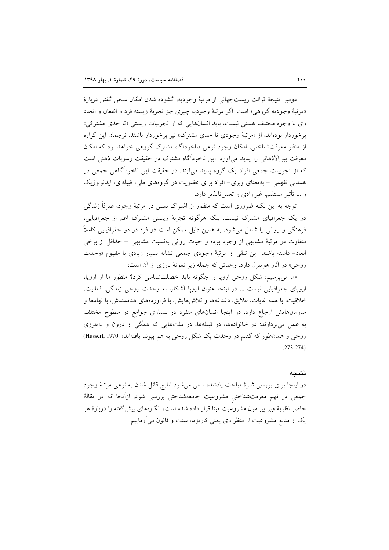دومين نتيجة قرائت زيستجهاني از مرتبة وجوديه، گشوده شدن امكان سخن گفتن دربارة «مرتبهٔ وجودیه گروهی» است. اگر مرتبهٔ وجودیه چیزی جز تجربهٔ زیسته فرد و انفعال و اتحاد وی با وجوه مختلف هستی نیست، باید انسانهایی که از تجربیات زیستی «تا حدی مشترکی» برخوردار بودهاند، از «مرتبهٔ وجودی تا حدی مشترک» نیز برخوردار باشند. ترجمان این گزاره از منظر معرفتشناختی، امکان وجود نوعی «ناخوداًگاه مشترک گروهی خواهد بود که امکان معرفت بین|لاذهانی را پدید می]ورد. این ناخوداگاه مشترک در حقیقت رسوبات ذهنی است که از تجربیات جمعی افراد یک گروه پدید می آیند. در حقیقت این ناخودآگاهی جمعی در همدلی تفهمی – بهمعنای وبری– افراد برای عضویت در گروههای ملی، قبیلهای، ایدئولوژیک و … تأثیر مستقیم، غیرارادی و تعیینiاپذیر دارد.

توجه به این نکته ضروری است که منظور از اشتراک نسبی در مرتبهٔ وجود، صرفاً زندگی در یک جغرافیای مشترک نیست. بلکه هرگونه تجربهٔ زیستی مشترک اعم از جغرافیایی، فرهنگی و روانی را شامل میشود. به همین دلیل ممکن است دو فرد در دو جغرافیایی کاملاً متفاوت در مرتبهٔ مشابهی از وجود بوده و حیات روانی بهنسبت مشابهی – حداقل از برخی ابعاد- داشته باشند. این تلقی از مرتبهٔ وجودی جمعی تشابه بسیار زیادی با مفهوم «وحدت روحي» در آثار هوسرل دارد. وحدتي كه جمله زير نمونهٔ بارزي از آن است:

«ما میپرسیم: شکل روحی اروپا را چگونه باید خصلتشناسی کرد؟ منظور ما از اروپا، اروپای جغرافیایی نیست ... در اینجا عنوان اروپا آشکارا به وحدت روحی زندگی، فعالیت، خلاقيت، با همه غايات، علايق، دغدغهها و تلاش هايش، با فراوردههاي هدفمندش، با نهادها و سازمانهایش ارجاع دارد. در اینجا انسانهای منفرد در بسیاری جوامع در سطوح مختلف به عمل میپردازند: در خانوادهها، در قبیلهها، در ملتهایی که همگی از درون و بهطرزی روحي و همان طور كه گفتم در وحدت يک شکل روحي به هم پيوند يافتهاند» :Husserl, 1970)  $.273 - 274$ 

#### نتىجە

در اینجا برای بررسی ثمرهٔ مباحث یادشده سعی میشود نتایج قائل شدن به نوعی مرتبهٔ وجود جمعی در فهم معرفتشناختی مشروعیت جامعهشناختی بررسی شود. ازآنجا که در مقالهٔ حاضر نظریهٔ وبر پیرامون مشروعیت مبنا قرار داده شده است، انگارههای پیش گفته را دربارهٔ هر یک از منابع مشروعیت از منظر وی یعنی کاریزما، سنت و قانون می آزماییم.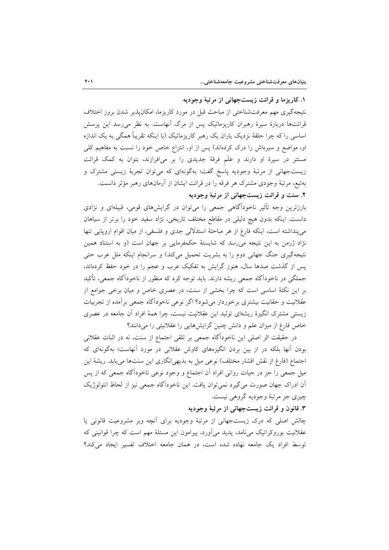۱. کاریزما و قرائت زیستجهانی از مرتبهٔ وجودیه

نتیجهگیری مهم معرفتشناختی از مباحث قبل در مورد کاریزما، امکانپذیر شدن بروز اختلاف قرائتها دربارهٔ سیرهٔ رهبران کاریزماتیک پس از مرگ آنهاست. به نظر میرسد این پرسش اساسی را که چرا حلقهٔ نزدیک یاران یک رهبر کاریزماتیک (با اینکه تقریباً همگی به یک اندازه او، مواضع و سیرهاش را درک کردهاند) پس از او، انتزاع خاص خود را نسبت به مفاهیم کلی مستتر در سیرهٔ او دارند و عَلَم فرقهٔ جدیدی را بر میافرازند، بتوان به کمک قرائت زیستجهانی از مرتبهٔ وجودیه پاسخ گفت؛ بهگونهای که میتوان تجربهٔ زیستی مشترک و بهتبع، مرتبهٔ وجودی مشترک هر فرقه را در قرائت ایشان از آرمانهای رهبر مؤثر دانست.

## ۲. سنت و قرائت زیستجهانی از مرتبهٔ وجودیه

بارزترین وجه تأثیر ناخودآگاهی جمعی را میتوان در گرایشهای قومی، قبیلهای و نژادی دانست. اینکه بدون هیچ دلیلی در مقاطع مختلف تاریخی، نژاد سفید خود را برتر از سیاهان می پنداشته است، اینکه فارغ از هر مباحثهٔ استدلالی جدی و فلسفی، از میان اقوام اروپایی تنها نژاد ژرمن به این نتیجه می رسد که شایستهٔ حکمفرمایی بر جهان است (و به استناد همین نتیجهگیری جنگ جهانی دوم را به بشریت تحمیل میکند) و سرانجام اینکه ملل عرب حتی پس از گذشت صدها سال، هنوز گرایش به تفکیک عرب و عجم را در خود حفظ کردهاند، جملگی در ناخوداًگاه جمعی ریشه دارند. باید توجه کرد که منظور از ناخوداًگاه جمعی، تأکید بر این نکتهٔ اساسی است که چرا بخشی از سنت، در عصری خاص و میان برخی جوامع از عقلانیت و حقانیت بیشتری برخوردار میشود؟ اگر نوعی ناخودآگاه جمعی برآمده از تجربیات زیستی مشترک انگیزهٔ ریشهای تولید این عقلانیت نیست، چرا همهٔ افراد آن جامعه در عصری خاص فارغ از میزان علم و دانش چنین گرایشهایی را عقلانیتی را میدانند؟

در حقیقت اثر اصلی این ناخودآگاه جمعی بر تلقی اجتماع از سنت، نه در اثبات عقلانی بودن آنها بلکه در از بین بردن انگیزههای کاوش عقلانی در مورد آنهاست؛ بهگونهای که اجتماع (فارغ از نقش اقشار مختلف) نوعی میل به بدیهی|نگاری این سنتها می یابد. ریشهٔ این میل جمعی را جز در حیات روانی افراد آن اجتماع و وجود نوعی ناخودآگاه جمعی که از پس آن ادراک جهان صورت میگیرد نمی توان یافت. این ناخودآگاه جمعی نیز از لحاظ انتولوژیک چيزي جز مرتبهٔ وجوديه گروهي نيست.

## ۳. قانون و قرائت زیستجهانی از مرتبهٔ وجودیه

چالش اصلی که درک زیستجهانی از مرتبهٔ وجودیه برای أنچه وبر مشروعیت قانونی یا عقلانیت بوروکراتیک می نامد، پدید می آورد، پیرامون این مسئلهٔ مهم است که چرا قوانینی که توسط افراد یک جامعه نهاده شده است، در همان جامعه اختلاف تفسیر ایجاد می کند؟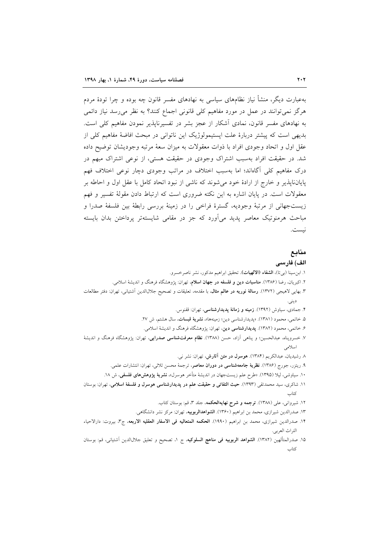بهعبارت دیگر، منشأ نیاز نظامهای سیاسی به نهادهای مفسر قانون چه بوده و چرا تودهٔ مردم هر گز نمی توانند در عمل در مورد مفاهیم کلی قانونی اجماع کنند؟ به نظر می رسد نیاز دائمی به نهادهای مفسر قانون، نمادی اَشکار از عجز بشر در تفسیرناپذیر نمودن مفاهیم کلی است. بدیهی است که پیشتر دربارهٔ علت اپستیمولوژیک این ناتوانی در مبحث افاضهٔ مفاهیم کلی از عقل اول و اتحاد وجودي افراد با ذوات معقولات به ميزان سعهٔ مرتبه وجوديشان توضيح داده شد. در حقیقت افراد بهسبب اشتراک وجودی در حقیقت هستی، از نوعی اشتراک مبهم در درک مفاهیم کلی آگاهاند؛ اما بهسبب اختلاف در مراتب وجودی دچار نوعی اختلاف فهم پایانناپذیر و خارج از ارادهٔ خود میشوند که ناشی از نبود اتحاد کامل با عقل اول و احاطه بر معقولات است. در پایان اشاره به این نکته ضروری است که ارتباط دادن مقولهٔ تفسیر و فهم زيستجهاني از مرتبهٔ وجوديه، گسترهٔ فراخي را در زمينهٔ بررسي رابطهٔ بين فلسفهٔ صدرا و مباحث هرمنوتیک معاصر یدید می آورد که جز در مقامی شایستهتر پرداختن بدان بایسته نيست.

## منابع

الف) فارسى ١. ابن سينا (بيتا)، الشفاء (الالهيات). تحقيق ابراهيم مدكور، نشر ناصرخسرو. ۲. اکبریان، رضا (۱۳۸۶). م**ناسبات دین و فلسفه در جهان اسلام**، تهران: پژوهشگاه فرهنگ و اندیشهٔ اسلامی. ٣. بهايي لاهيجي (١٣٧٢). رسالة نوريه در عالم مثال، با مقدمه، تعليقات و تصحيح جلالالدين أشتياني، تهران: دفتر مطالعات ديني. ۴. جمادي، سياوش (١٣٩٢). زمينه و زمانهٔ يديدارشناسي، تهران: ققنوس. ۵. خاتمي، محمود (١٣٨١). «پديدارشناسي دين؛ زمينهها»، نشرية قبسات، سال هشتم، ش ٢٧. ۶. خاتمی، محمود (۱۳۸۲). **پدیدارشناسی دین**، تهران: پژوهشگاه فرهنگ و اندیشهٔ اسلامی. ۷. خسروپناه، عبدالحسین؛ و پناهی آزاد، حسن (۱۳۸۸). **نظام معرفتشناسی صدرایی**، تهران: پژوهشگاه فرهنگ و اندیشهٔ اسلامى ٨ رشيديان، عبدالكريم (١٣٨۴). هوسول در متن آثارش، تهران: نشر ني. ۹. ریتزر، جورج (۱۳۸۶). **نظریهٔ جامعهشناسی در دوران معاصر**، ترجمهٔ محسن ثلاثی، تهران: انتشارات علمی. ۱۰. سیاوشی، لیلا (۱۳۹۵). «طرح علم زیستجهان در اندیشهٔ متأخر هوسرل»، **نشریهٔ پژوهش۵های فلسفی**، ش ۱۸. ۱۱. شاکری، سید محمدتقی (۱۳۹۳). <mark>حیث التفاتی و حقیقت علم در پدیدارشناسی هوسرل و فلسفهٔ اسلامی</mark>، تهران: بوستان ۱۲. شیروانی، علی (۱۳۸۸). ت**رجمه و شرح نهایهالحکمه**، جلد ۳، قم: بوستان کتاب. ۱۳. صدرالدین شیرازی، محمد بن ابراهیم (۱۳۶۰). **الشواهدالربوبیه**، تهران: مرکز نشر دانشگاهی. ١۴. صدرالدين شيرازي، محمد بن ابراهيم (١٩٩٠). الحكمه المتعاليه في الاسفار العقليه الاربعه، ج٣، بيروت: دارالاحياء التراث العربي.

١۵. صدرالمتألهين (١٣٨٢). **الشواهد الربوبيه في مناهج السلوكيه**، ج ١، تصحيح و تعليق جلالالدين أشتياني، قم: بوستان كتاب